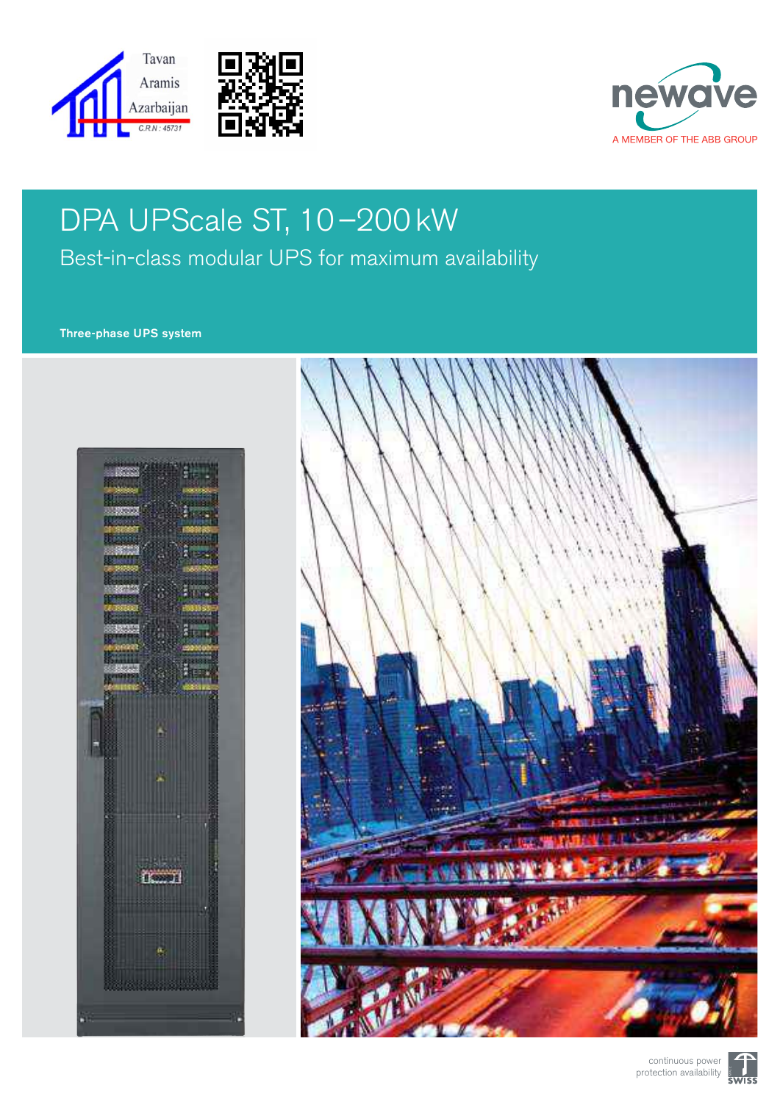





# DPA UPScale ST, 10–200 kW Best-in-class modular UPS for maximum availability

#### Three-phase UPS system





continuous power protection availability

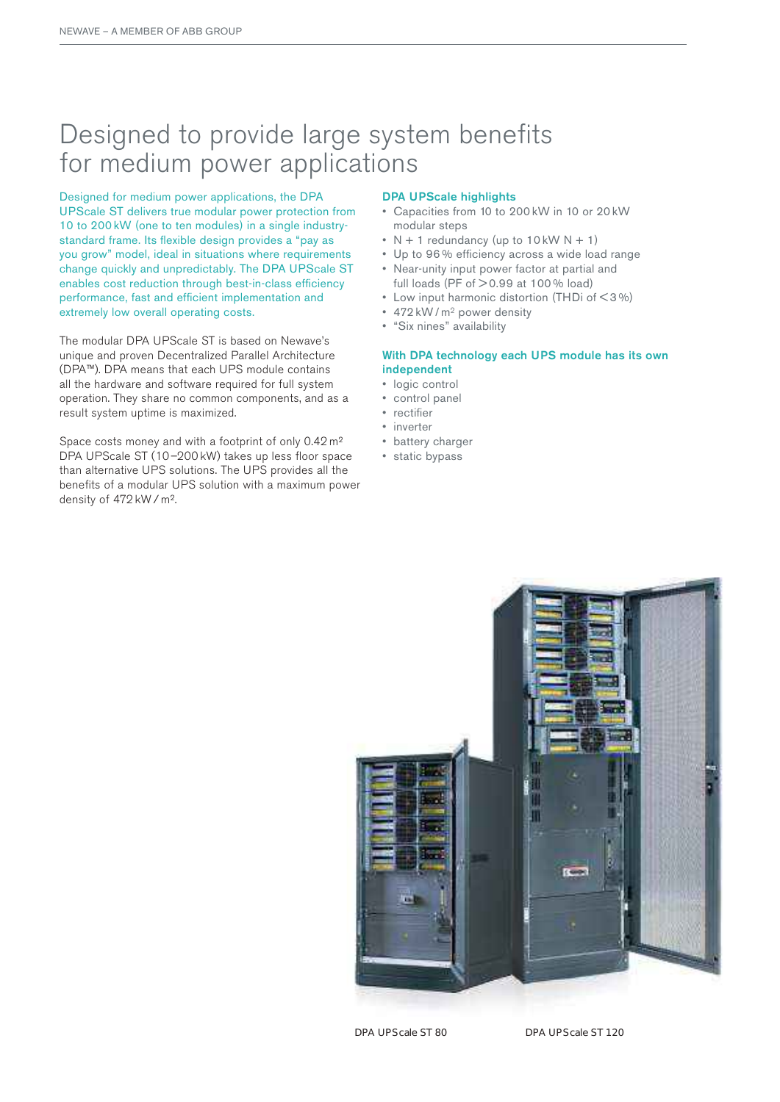### Designed to provide large system benefits for medium power applications

Designed for medium power applications, the DPA upScale ST delivers true modular power protection from 10 to 200 kw (one to ten modules) in a single industrystandard frame. Its flexible design provides a "pay as you grow" model, ideal in situations where requirements change quickly and unpredictably. The DPA UPScale ST enables cost reduction through best-in-class efficiency performance, fast and efficient implementation and extremely low overall operating costs.

The modular DPA UPScale ST is based on Newave's unique and proven Decentralized Parallel Architecture (DPA™). DPA means that each UPS module contains all the hardware and software required for full system operation. They share no common components, and as a result system uptime is maximized.

Space costs money and with a footprint of only 0.42 m<sup>2</sup> DPA UPScale ST (10–200 kW) takes up less floor space than alternative UPS solutions. The UPS provides all the benefits of a modular UPS solution with a maximum power density of 472 kW / m².

#### DPA UPScale highlights

- • Capacities from 10 to 200 kw in 10 or 20 kw modular steps
- $N + 1$  redundancy (up to 10 kW  $N + 1$ )
- Up to 96% efficiency across a wide load range
- • Near-unity input power factor at partial and
- full loads (PF of  $>$  0.99 at 100 % load)
- Low input harmonic distortion (THDi of  $\leq 3\%$ )
- 472 kW / m<sup>2</sup> power density
- • "Six nines" availability

#### With DPA technology each UPS module has its own independent

- logic control
- • control panel
- • rectifier
- • inverter
- battery charger
- static bypass

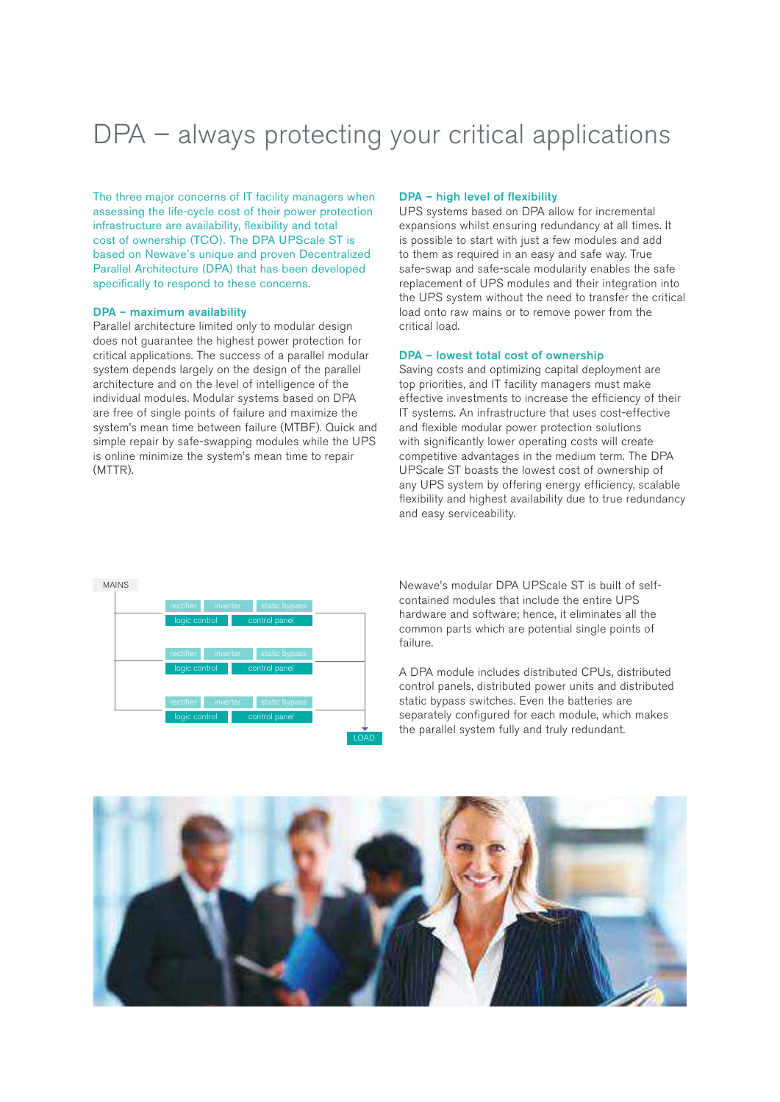### DPA – always protecting your critical applications

The three major concerns of IT facility managers when assessing the life-cycle cost of their power protection infrastructure are availability, flexibility and total cost of ownership (TCO). The DPA UPScale ST is based on Newave's unique and proven Decentralized Parallel Architecture (DPA) that has been developed specifically to respond to these concerns.

#### DPA – maximum availability

Parallel architecture limited only to modular design does not guarantee the highest power protection for critical applications. The success of a parallel modular system depends largely on the design of the parallel architecture and on the level of intelligence of the individual modules. Modular systems based on DPA are free of single points of failure and maximize the system's mean time between failure (MTBF). Quick and simple repair by safe-swapping modules while the UPS is online minimize the system's mean time to repair (MTTR).

#### DPA – high level of flexibility

UPS systems based on DPA allow for incremental expansions whilst ensuring redundancy at all times. It is possible to start with just a few modules and add to them as required in an easy and safe way. True safe-swap and safe-scale modularity enables the safe replacement of UPS modules and their integration into the UPS system without the need to transfer the critical load onto raw mains or to remove power from the critical load.

#### DPA – lowest total cost of ownership

Saving costs and optimizing capital deployment are top priorities, and IT facility managers must make effective investments to increase the efficiency of their IT systems. An infrastructure that uses cost-effective and flexible modular power protection solutions with significantly lower operating costs will create competitive advantages in the medium term. The DPA UPScale ST boasts the lowest cost of ownership of any UPS system by offering energy efficiency, scalable flexibility and highest availability due to true redundancy and easy serviceability.



Newave's modular DPA UPScale ST is built of selfcontained modules that include the entire UPS hardware and software; hence, it eliminates all the common parts which are potential single points of failure.

A DPA module includes distributed CPUs, distributed control panels, distributed power units and distributed static bypass switches. Even the batteries are separately configured for each module, which makes the parallel system fully and truly redundant.

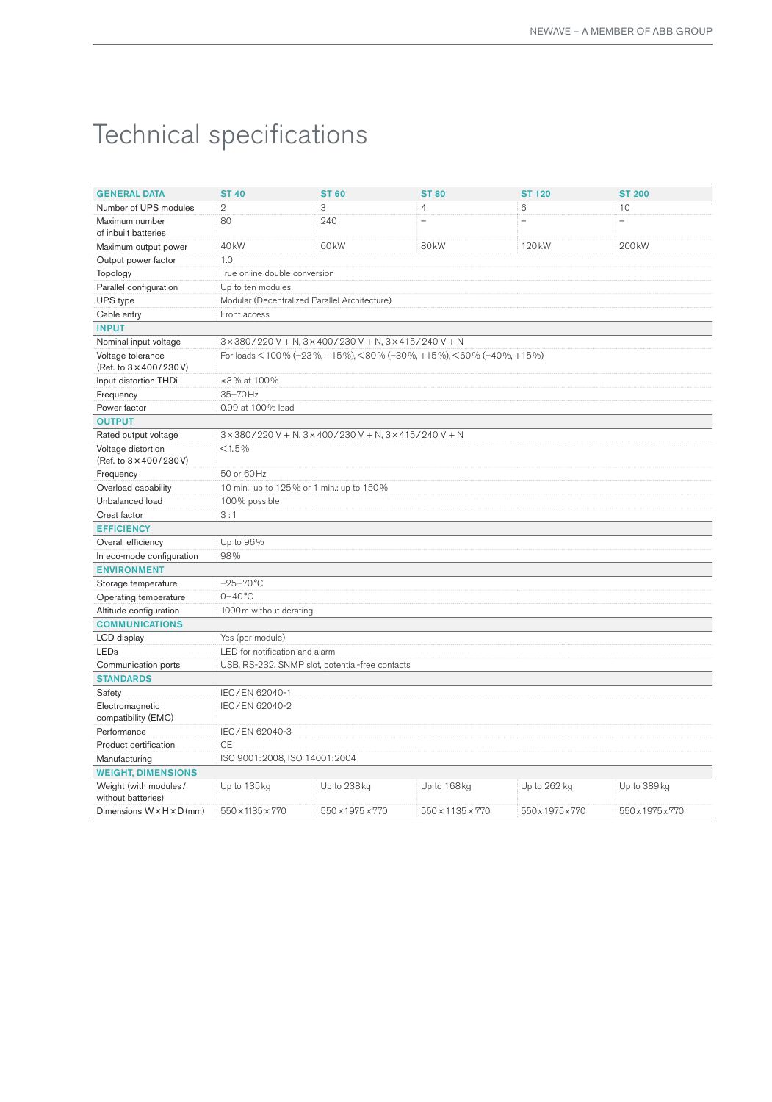# Technical specifications

| <b>GENERAL DATA</b>                                     | <b>ST 40</b>                                                                       | <b>ST 60</b>      | <b>ST 80</b>             | <b>ST 120</b>            | <b>ST 200</b>     |  |  |
|---------------------------------------------------------|------------------------------------------------------------------------------------|-------------------|--------------------------|--------------------------|-------------------|--|--|
| Number of UPS modules                                   | $\overline{2}$                                                                     | 3                 | $\overline{4}$           | 6                        | 10                |  |  |
| Maximum number<br>of inbuilt batteries                  | 80                                                                                 | 240               | $\overline{\phantom{0}}$ | $\overline{\phantom{0}}$ | ÷                 |  |  |
| Maximum output power                                    | 40 <sub>kW</sub>                                                                   | 60 <sub>k</sub> W | 80 <sub>kW</sub>         | 120 <sub>kW</sub>        | 200 <sub>kW</sub> |  |  |
| Output power factor                                     | 1.0                                                                                |                   |                          |                          |                   |  |  |
| Topology                                                | True online double conversion                                                      |                   |                          |                          |                   |  |  |
| Parallel configuration                                  | Up to ten modules                                                                  |                   |                          |                          |                   |  |  |
| UPS type                                                | Modular (Decentralized Parallel Architecture)                                      |                   |                          |                          |                   |  |  |
| Cable entry                                             | Front access                                                                       |                   |                          |                          |                   |  |  |
| <b>INPUT</b>                                            |                                                                                    |                   |                          |                          |                   |  |  |
| Nominal input voltage                                   | $3 \times 380 / 220$ V + N, $3 \times 400 / 230$ V + N, $3 \times 415 / 240$ V + N |                   |                          |                          |                   |  |  |
| Voltage tolerance<br>(Ref. to $3 \times 400 / 230 V$ )  | For loads < 100 % (-23 %, +15 %), < 80 % (-30 %, +15 %), < 60 % (-40 %, +15 %)     |                   |                          |                          |                   |  |  |
| Input distortion THDi                                   | ≤3% at 100%                                                                        |                   |                          |                          |                   |  |  |
| Frequency                                               | 35-70Hz                                                                            |                   |                          |                          |                   |  |  |
| Power factor                                            | 0.99 at 100% load                                                                  |                   |                          |                          |                   |  |  |
| <b>OUTPUT</b>                                           |                                                                                    |                   |                          |                          |                   |  |  |
| Rated output voltage                                    | $3 \times 380 / 220$ V + N, $3 \times 400 / 230$ V + N, $3 \times 415 / 240$ V + N |                   |                          |                          |                   |  |  |
| Voltage distortion<br>(Ref. to $3 \times 400 / 230 V$ ) | < 1.5%                                                                             |                   |                          |                          |                   |  |  |
| Frequency                                               | 50 or 60 Hz                                                                        |                   |                          |                          |                   |  |  |
| Overload capability                                     | 10 min.: up to 125% or 1 min.: up to 150%                                          |                   |                          |                          |                   |  |  |
| Unbalanced load                                         | 100% possible                                                                      |                   |                          |                          |                   |  |  |
| Crest factor                                            | 3:1                                                                                |                   |                          |                          |                   |  |  |
| <b>EFFICIENCY</b>                                       |                                                                                    |                   |                          |                          |                   |  |  |
| Overall efficiency                                      | Up to 96%                                                                          |                   |                          |                          |                   |  |  |
| In eco-mode configuration                               | 98%                                                                                |                   |                          |                          |                   |  |  |
| <b>ENVIRONMENT</b>                                      |                                                                                    |                   |                          |                          |                   |  |  |
| Storage temperature                                     | $-25-70$ °C                                                                        |                   |                          |                          |                   |  |  |
| Operating temperature                                   | $0 - 40$ °C                                                                        |                   |                          |                          |                   |  |  |
| Altitude configuration                                  | 1000 m without derating                                                            |                   |                          |                          |                   |  |  |
| <b>COMMUNICATIONS</b>                                   |                                                                                    |                   |                          |                          |                   |  |  |
| LCD display                                             | Yes (per module)                                                                   |                   |                          |                          |                   |  |  |
| LEDs                                                    | LED for notification and alarm                                                     |                   |                          |                          |                   |  |  |
| Communication ports                                     | USB, RS-232, SNMP slot, potential-free contacts                                    |                   |                          |                          |                   |  |  |
| <b>STANDARDS</b>                                        |                                                                                    |                   |                          |                          |                   |  |  |
| Safety                                                  | IEC/EN 62040-1                                                                     |                   |                          |                          |                   |  |  |
| Electromagnetic                                         | IEC/EN 62040-2                                                                     |                   |                          |                          |                   |  |  |
| compatibility (EMC)                                     |                                                                                    |                   |                          |                          |                   |  |  |
| Performance                                             | IEC/EN 62040-3                                                                     |                   |                          |                          |                   |  |  |
| Product certification                                   | <b>CE</b>                                                                          |                   |                          |                          |                   |  |  |
| Manufacturing                                           | ISO 9001:2008, ISO 14001:2004                                                      |                   |                          |                          |                   |  |  |
| <b>WEIGHT, DIMENSIONS</b>                               |                                                                                    |                   |                          |                          |                   |  |  |
| Weight (with modules/<br>without batteries)             | Up to 135 kg                                                                       | Up to 238 kg      | Up to 168kg              | Up to 262 kg             | Up to 389 kg      |  |  |
| Dimensions $W \times H \times D$ (mm)                   | 550×1135×770                                                                       | 550×1975×770      | 550×1135×770             | 550x1975x770             | 550x1975x770      |  |  |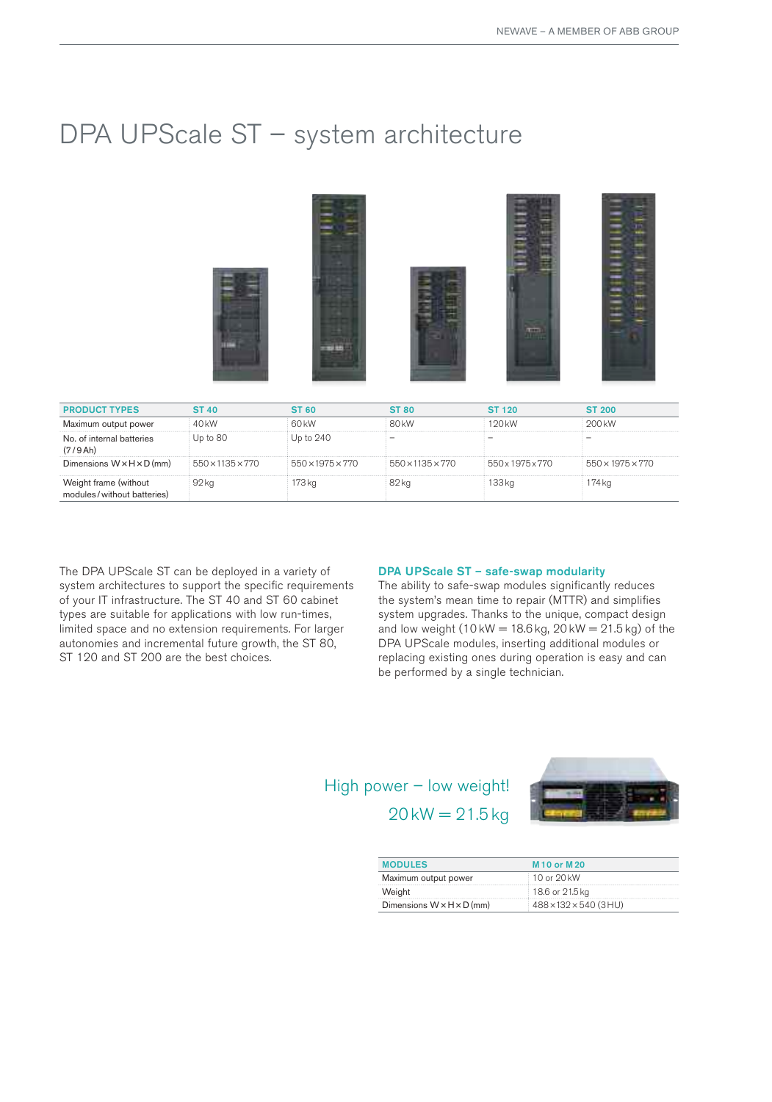### DPA UPScale ST - system architecture



| <b>PRODUCT TYPES</b>                                | ST 40.       | ST 60.                       | ST 80.                       | ST 120.                      | ST 200.                      |
|-----------------------------------------------------|--------------|------------------------------|------------------------------|------------------------------|------------------------------|
| Maximum output power                                | 40 kW        | 60 <sub>k</sub> W            | 80 <sub>k</sub> W            | 120 kW                       | 200 <sub>kW</sub>            |
| No. of internal batteries<br>(7/9 Ah)               | Up to 80     | Up to 240                    |                              |                              |                              |
| Dimensions $W \times H \times D$ (mm)               | 550×1135×770 | $550 \times 1975 \times 770$ | $550 \times 1135 \times 770$ | $550 \times 1975 \times 770$ | $550 \times 1975 \times 770$ |
| Weight frame (without<br>modules/without batteries) | 92 ka        | 73 ka                        | 82 kg                        | 33 ka                        | 174 kg                       |

The DPA UPScale ST can be deployed in a variety of system architectures to support the specific requirements of your IT infrastructure. The ST 40 and ST 60 cabinet types are suitable for applications with low run-times, limited space and no extension requirements. For larger autonomies and incremental future growth, the ST 80, ST 120 and ST 200 are the best choices.

#### DPA UPScale ST – safe-swap modularity

The ability to safe-swap modules significantly reduces the system's mean time to repair (MTTR) and simplifies system upgrades. Thanks to the unique, compact design and low weight (10 kW =  $18.6$  kg,  $20$  kW =  $21.5$  kg) of the DPA UPScale modules, inserting additional modules or replacing existing ones during operation is easy and can be performed by a single technician.

### High power – low weight!  $20$  kW =  $21.5$  kg



| <b>MODULES</b>                        | M <sub>10</sub> or M <sub>20</sub> |
|---------------------------------------|------------------------------------|
| Maximum output power                  | 10 or 20 kW                        |
| Weight                                | 18.6 or 21.5 kg                    |
| Dimensions $W \times H \times D$ (mm) | 488×132×540 (3HU)                  |